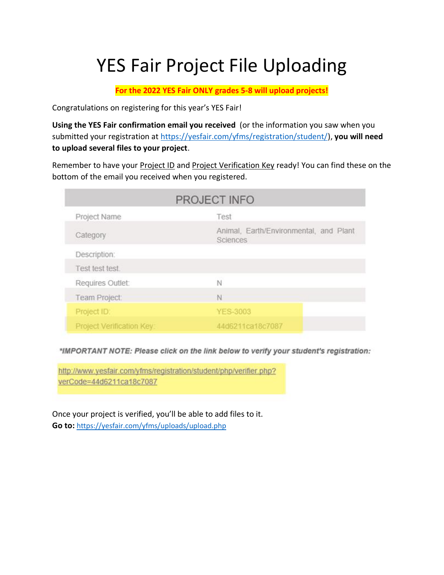## YES Fair Project File Uploading

**For the 2022 YES Fair ONLY grades 5-8 will upload projects!**

Congratulations on registering for this year's YES Fair!

**Using the YES Fair confirmation email you received** (or the information you saw when you submitted your registration at [https://yesfair.com/yfms/registration/student/\)](https://yesfair.com/yfms/registration/student/), **you will need to upload several files to your project**.

Remember to have your Project ID and Project Verification Key ready! You can find these on the bottom of the email you received when you registered.

|                           | PROJECT INFO                                       |
|---------------------------|----------------------------------------------------|
| Project Name              | Test                                               |
| Category                  | Animal, Earth/Environmental, and Plant<br>Sciences |
| Description:              |                                                    |
| Test test test.           |                                                    |
| Requires Outlet:          | N                                                  |
| Team Project:             | N                                                  |
| Project ID:               | <b>YES-3003</b>                                    |
| Project Verification Key: | 44d6211ca18c7087                                   |

\*IMPORTANT NOTE: Please click on the link below to verify your student's registration:

http://www.yesfair.com/yfms/registration/student/php/verifier.php? verCode=44d6211ca18c7087

Once your project is verified, you'll be able to add files to it. **Go to:** <https://yesfair.com/yfms/uploads/upload.php>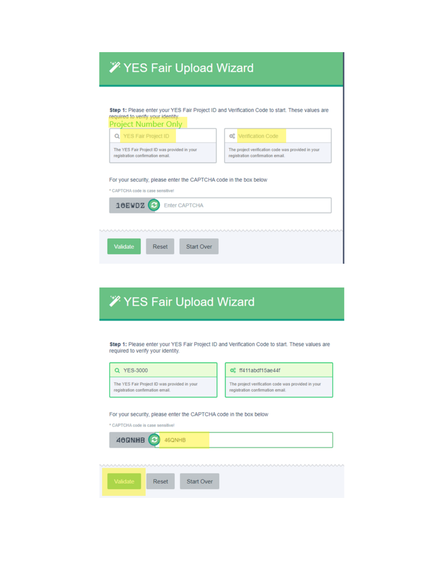## **X** YES Fair Upload Wizard

| Q YES Fair Project ID                                                            |                                                                   |  | <b>Q</b> & Verification Code                                                           |  |  |
|----------------------------------------------------------------------------------|-------------------------------------------------------------------|--|----------------------------------------------------------------------------------------|--|--|
| The YES Fair Project ID was provided in your<br>registration confirmation email. |                                                                   |  | The project verification code was provided in your<br>registration confirmation email. |  |  |
|                                                                                  | For your security, please enter the CAPTCHA code in the box below |  |                                                                                        |  |  |
| * CAPTCHA code is case sensitivel                                                |                                                                   |  |                                                                                        |  |  |
|                                                                                  |                                                                   |  |                                                                                        |  |  |
|                                                                                  |                                                                   |  |                                                                                        |  |  |
| 10EWDZ                                                                           | <b>Enter CAPTCHA</b>                                              |  |                                                                                        |  |  |

## **X** YES Fair Upload Wizard

ш

Step 1: Please enter your YES Fair Project ID and Verification Code to start. These values are required to verify your identity.

| Q YES-3000                                                                       | of ff411abdf15ae44f                                                                    |
|----------------------------------------------------------------------------------|----------------------------------------------------------------------------------------|
| The YES Fair Project ID was provided in your<br>registration confirmation email. | The project verification code was provided in your<br>registration confirmation email. |
|                                                                                  |                                                                                        |
| For your security, please enter the CAPTCHA code in the box below                |                                                                                        |
| * CAPTCHA code is case sensitive!                                                |                                                                                        |
| 46QNHB<br>46QNHB                                                                 |                                                                                        |
|                                                                                  |                                                                                        |
|                                                                                  |                                                                                        |
|                                                                                  |                                                                                        |
| Validate<br><b>Start Over</b><br>Reset                                           |                                                                                        |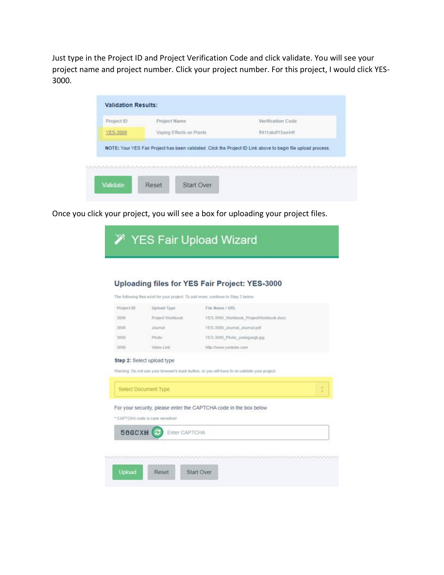Just type in the Project ID and Project Verification Code and click validate. You will see your project name and project number. Click your project number. For this project, I would click YES-3000.

| Project ID | Project Name             | Verification Code                                                                                             |
|------------|--------------------------|---------------------------------------------------------------------------------------------------------------|
| YES-3000   | Vaping Effects on Plants | ff411abdf15ae44f                                                                                              |
|            |                          | NOTE: Your YES Fair Project has been validated. Click the Project ID Link above to begin file upload process. |
|            |                          |                                                                                                               |
|            |                          |                                                                                                               |

Once you click your project, you will see a box for uploading your project files.

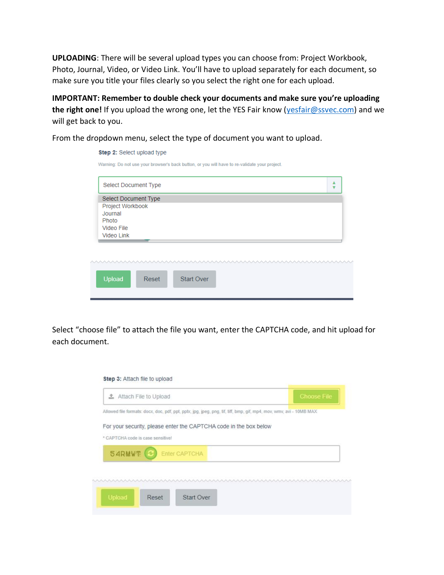**UPLOADING**: There will be several upload types you can choose from: Project Workbook, Photo, Journal, Video, or Video Link. You'll have to upload separately for each document, so make sure you title your files clearly so you select the right one for each upload.

**IMPORTANT: Remember to double check your documents and make sure you're uploading the right one!** If you upload the wrong one, let the YES Fair know [\(yesfair@ssvec.com\)](mailto:yesfair@ssvec.com) and we will get back to you.

From the dropdown menu, select the type of document you want to upload.

| Select Document Type |  |  |  |  |
|----------------------|--|--|--|--|
| Select Document Type |  |  |  |  |
| Project Workbook     |  |  |  |  |
| Journal<br>Photo     |  |  |  |  |
| Video File           |  |  |  |  |
| Video Link           |  |  |  |  |
|                      |  |  |  |  |
|                      |  |  |  |  |
|                      |  |  |  |  |

Select "choose file" to attach the file you want, enter the CAPTCHA code, and hit upload for each document.

| Allowed file formats: docx, doc, pdf, ppt, pptx, jpg, jpeg, png, tif, tiff, bmp, gif, mp4, mov, wmv, avi - 10MB MAX<br>For your security, please enter the CAPTCHA code in the box below<br>* CAPTCHA code is case sensitivel<br>54RMWT<br><b>Enter CAPTCHA</b> |  |
|-----------------------------------------------------------------------------------------------------------------------------------------------------------------------------------------------------------------------------------------------------------------|--|
|                                                                                                                                                                                                                                                                 |  |
|                                                                                                                                                                                                                                                                 |  |
|                                                                                                                                                                                                                                                                 |  |
|                                                                                                                                                                                                                                                                 |  |
|                                                                                                                                                                                                                                                                 |  |
|                                                                                                                                                                                                                                                                 |  |
|                                                                                                                                                                                                                                                                 |  |